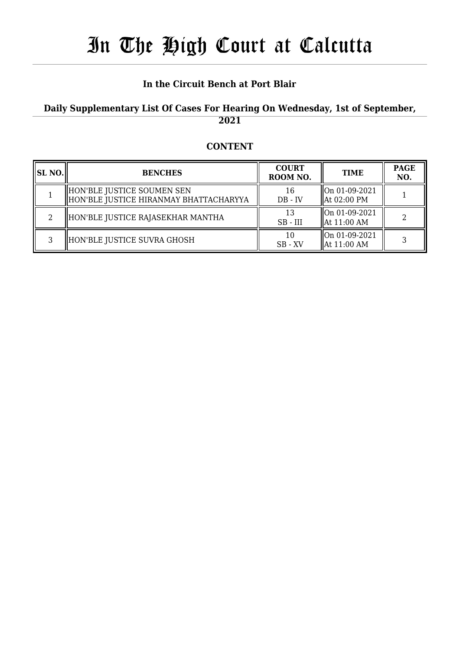# In The High Court at Calcutta

### **In the Circuit Bench at Port Blair**

### **Daily Supplementary List Of Cases For Hearing On Wednesday, 1st of September, 2021**

### **CONTENT**

| <b>SL NO.</b> | <b>BENCHES</b>                                                       | <b>COURT</b><br>ROOM NO. | <b>TIME</b>                              | <b>PAGE</b><br>NO. |
|---------------|----------------------------------------------------------------------|--------------------------|------------------------------------------|--------------------|
|               | HON'BLE JUSTICE SOUMEN SEN<br>HON'BLE JUSTICE HIRANMAY BHATTACHARYYA | 16<br>$DB - IV$          | On 01-09-2021<br>$\parallel$ At 02:00 PM |                    |
|               | HON'BLE JUSTICE RAJASEKHAR MANTHA                                    | 13<br>$SB$ - $III$       | On 01-09-2021<br>$\parallel$ At 11:00 AM |                    |
| ς             | HON'BLE JUSTICE SUVRA GHOSH                                          | 10<br>$SB - XV$          | On 01-09-2021<br>  At 11:00 AM           |                    |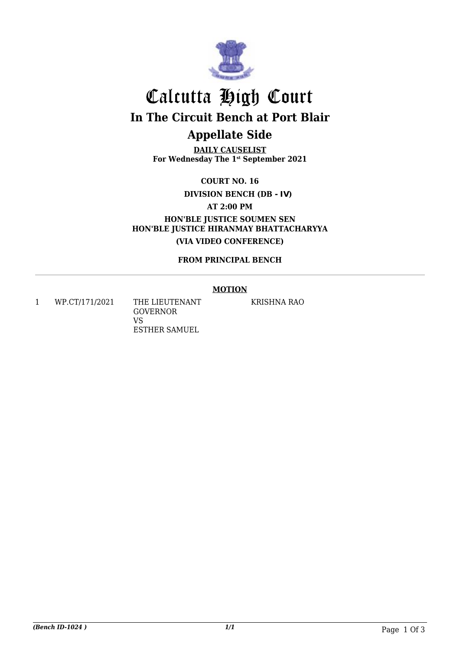

## Calcutta High Court **In The Circuit Bench at Port Blair Appellate Side**

**DAILY CAUSELIST For Wednesday The 1st September 2021**

**COURT NO. 16**

**DIVISION BENCH (DB - IV)**

**AT 2:00 PM**

**HON'BLE JUSTICE SOUMEN SEN HON'BLE JUSTICE HIRANMAY BHATTACHARYYA (VIA VIDEO CONFERENCE)**

**FROM PRINCIPAL BENCH**

#### **MOTION**

1 WP.CT/171/2021 THE LIEUTENANT

GOVERNOR VS ESTHER SAMUEL KRISHNA RAO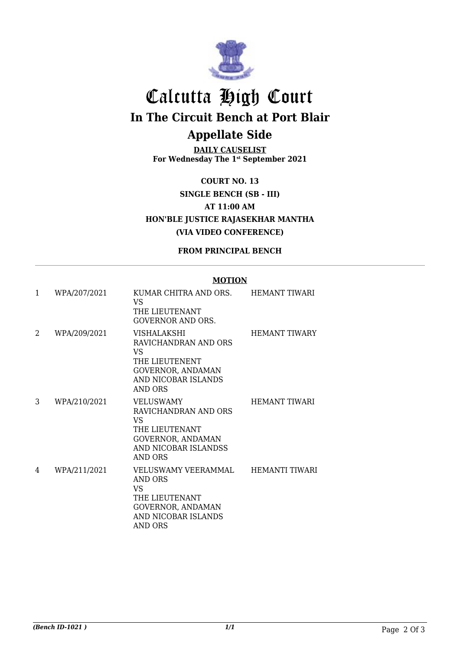

## Calcutta High Court **In The Circuit Bench at Port Blair Appellate Side**

**DAILY CAUSELIST For Wednesday The 1st September 2021**

**COURT NO. 13 SINGLE BENCH (SB - III) AT 11:00 AM HON'BLE JUSTICE RAJASEKHAR MANTHA (VIA VIDEO CONFERENCE)**

**FROM PRINCIPAL BENCH**

#### **MOTION**

| 1 | WPA/207/2021 | KUMAR CHITRA AND ORS.<br>VS.<br>THE LIEUTENANT<br><b>GOVERNOR AND ORS.</b>                                                       | <b>HEMANT TIWARI</b>  |
|---|--------------|----------------------------------------------------------------------------------------------------------------------------------|-----------------------|
| 2 | WPA/209/2021 | VISHALAKSHI<br>RAVICHANDRAN AND ORS<br>VS<br>THE LIEUTENENT<br><b>GOVERNOR, ANDAMAN</b><br>AND NICOBAR ISLANDS<br>AND ORS        | <b>HEMANT TIWARY</b>  |
| 3 | WPA/210/2021 | <b>VELUSWAMY</b><br>RAVICHANDRAN AND ORS<br>VS.<br>THE LIEUTENANT<br><b>GOVERNOR, ANDAMAN</b><br>AND NICOBAR ISLANDSS<br>AND ORS | <b>HEMANT TIWARI</b>  |
| 4 | WPA/211/2021 | VELUSWAMY VEERAMMAL<br>AND ORS<br>VS<br>THE LIEUTENANT<br><b>GOVERNOR, ANDAMAN</b><br>AND NICOBAR ISLANDS<br><b>AND ORS</b>      | <b>HEMANTI TIWARI</b> |